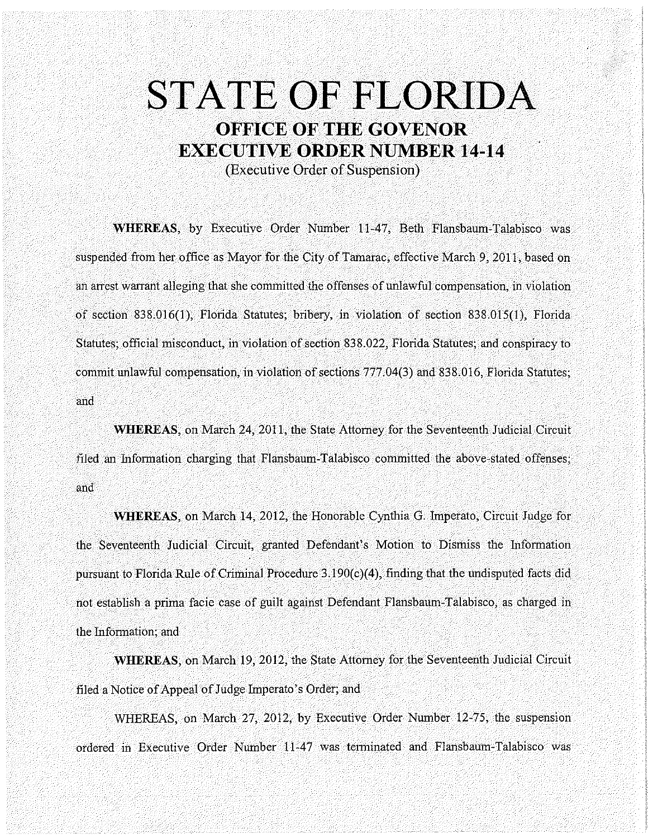# **STATE OF FLORIDA OFFICE OF THE GOVENOR EXECUTIVE ORDER NUMBER 14-14**

(Executive Order of Suspension)

**WHEREAS,** by Executive Order Number 11-47, Beth Flansbaum-Talabisco was suspended from her office as Mayor for the City of Tamarac, effective March 9, 2011, based on an arrest warrant alleging that she committed the offenses of unlawful compensation, in violation of section 838.016(1), Florida Statutes; bribery, in violation of section 838.015(1), Florida Statutes; official misconduct, in violation of section 838.022, Florida Statutes; and conspiracy to commit unlawful compensation, in violation of sections 777.04(3) and 838.016, Florida Statutes; and

**WHEREAS,** on March 24, 2011, the State Attorney for the Seventeenth Judicial Circuit tiled an Information charging that Flansbaum-Talabisco committed the above-stated offenses; and

**WHEREAS,** on March 14, 2012, the Honorable Cynthia G. Imperato, Circuit Judge for the Seventeenth Judicial Circuit, granted Defendant's Motion to Dismiss the Information pursuant to Florida Rule of Criminal Procedure 3.190(c )(4), finding that the undisputed facts did not establish a prima facie case of guilt against Defendant Flansbaum-Talabisco, as charged in the Information; and

**WHEREAS,** on March 19, 2012, the State Attorney for the Seventeenth Judicial Circuit filed a Notice of Appeal of Judge Imperato's Order; and

WHEREAS, on March 27, 2012, by Executive Order Number 12-75, the suspension ordered in Executive Order Number 11-47 was terminated and Flansbaum-Talabisco was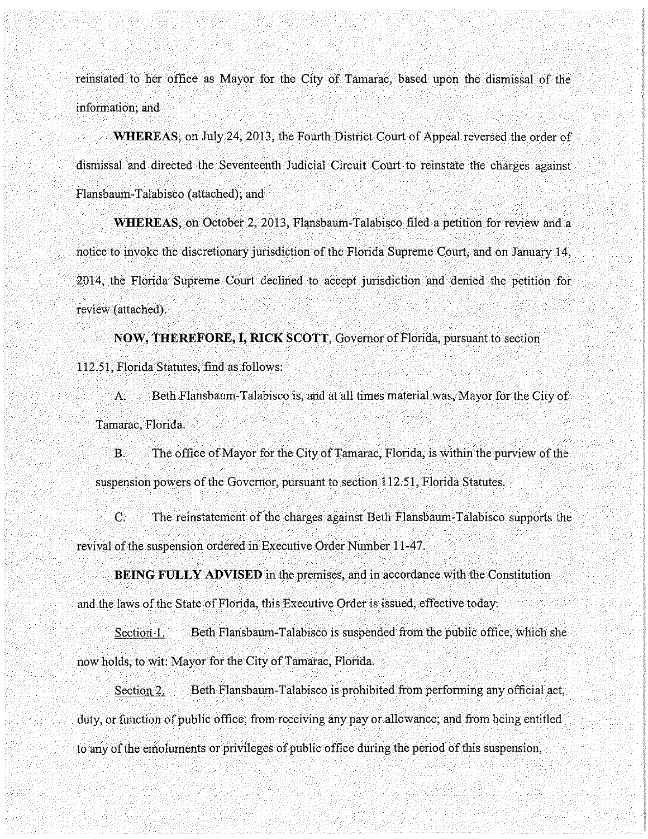reinstated to her office as Mayor for the City of Tamarac, based upon the dismissal of the information; and

**WHEREAS,** on July 24, 2013, the Fourth District Court of Appeal reversed the order of dismissal and directed the Seventeenth Judicial Circuit Court to reinstate the charges against Flansbaum-Talabisco (attached); and

**WHEREAS,** on October 2, 2013, Flansbaum-Talabisco filed a petition for review and a notice to invoke the discretionary jurisdiction of the Florida Supreme Court, and on January 14, 2014, the Florida Supreme Court declined to accept jurisdiction and denied the petition for review (attached).

**NOW, THEREFORE, I, RICK SCOTT,** Governor of Florida, pursuant to section 112.51, Florida Statutes, find as follows:

A. Beth Flansbaum-Talabisco is, and at all times material was, Mayor for the City of Tamarac, Florida.

B. The office of Mayor for the City of Tamarac, Florida, is within the purview of the suspension powers of the Governor, pursuant to section 112.51, Florida Statutes.

C. The reinstatement of the charges against Beth Flansbaum-Talabisco supports the revival of the suspension ordered in Executive Order Number 11-47.

**BEING FULLY ADVISED** in the premises, and in accordance with the Constitution and the laws of the State of Florida, this Executive Order is issued, effective today:

Section 1. Beth Flansbaum-Talabisco is suspended from the public office, which she now holds, to wit: Mayor for the City of Tamarac, Florida.

Section 2. Beth Flansbaum-Talabisco is prohibited from performing any official act, duty, or function of public office; from receiving any pay or allowance; and from being entitled to any of the emoluments or privileges of public office during the period of this suspension,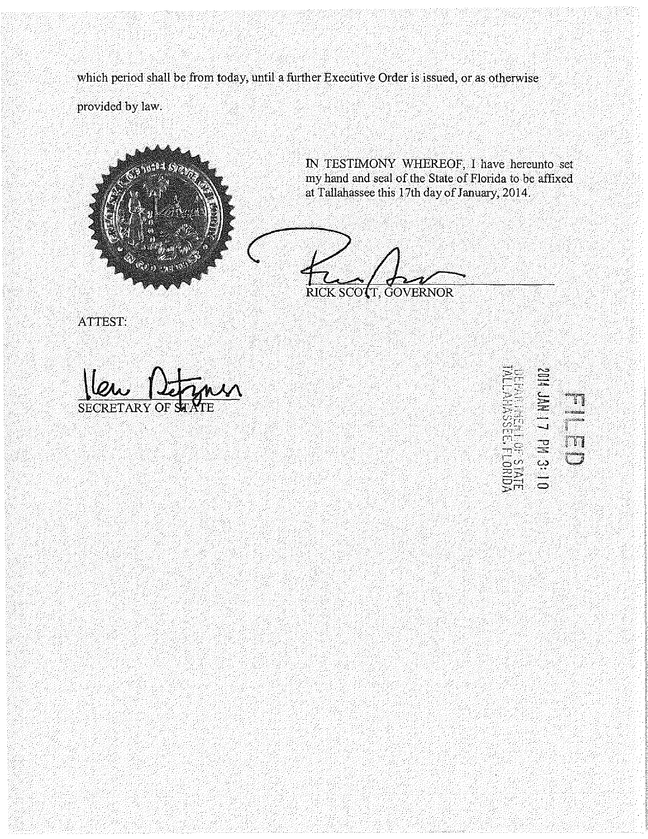which period shall be from today, until a further Executive Order is issued, or as otherwise provided by law.



IN TESTIMONY WHEREOF, I have hereunto set my hand and seal of the State of Florida to be affixed at Tallahassee this 17th day of January, 2014.

RICK SCOTT. **GOVERNOR** 

ATTEST:

**SE**  $\mathop{\rm IARY}\nolimits$  OF

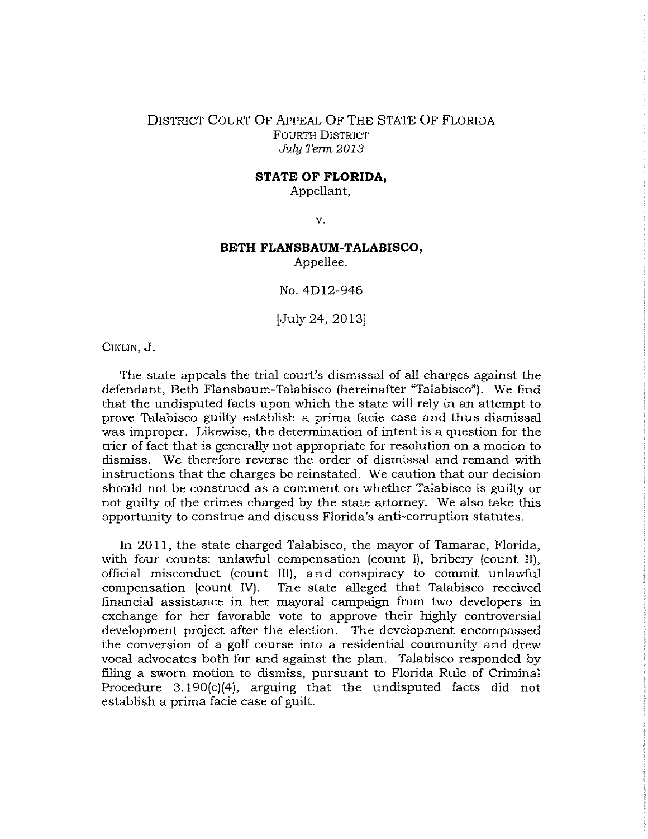# DISTRICT COURT OF APPEAL OF THE STATE OF FLORIDA FOURTH DISTRICT July Term 2013

#### **STATE OF FLORIDA,**

Appellant,

v.

# **BETH FLANSBAUM-TALABISCO,**

Appellee.

No. 4Dl2-946

[July 24, 2013]

C!KLIN, J.

The state appeals the trial court's dismissal of all charges against the defendant, Beth Flansbaum-Talabisco {hereinafter "Talabisco"). We find that the undisputed facts upon which the state will rely in an attempt to prove Talabisco guilty establish a prima facie case and thus dismissal was improper. Likewise, the determination of intent is a question for the trier of fact that is generally not appropriate for resolution on a motion to dismiss. We therefore reverse the order of dismissal and remand with instructions that the charges be reinstated. We caution that our decision should not be construed as a comment on whether Talabisco is guilty or not guilty of the crimes charged by the state attorney. We also take this opportunity to construe and discuss Florida's anti-corruption statutes.

In 2011, the state charged Talabisco, the mayor of Tamarac, Florida, with four counts: unlawful compensation {count I), bribery (count II), official misconduct (count III), and conspiracy to commit unlawful compensation (count IV). The state alleged that Talabisco received financial assistance in her mayoral campaign from two developers in exchange for her favorable vote to approve their highly controversial development project after the election. The development encompassed the conversion of a golf course into a residential community and drew vocal advocates both for and against the plan. Talabisco responded by filing a sworn motion to dismiss, pursuant to Florida Rule of Criminal Procedure 3.190(c)(4), arguing that the undisputed facts did not establish a prima facie case of guilt.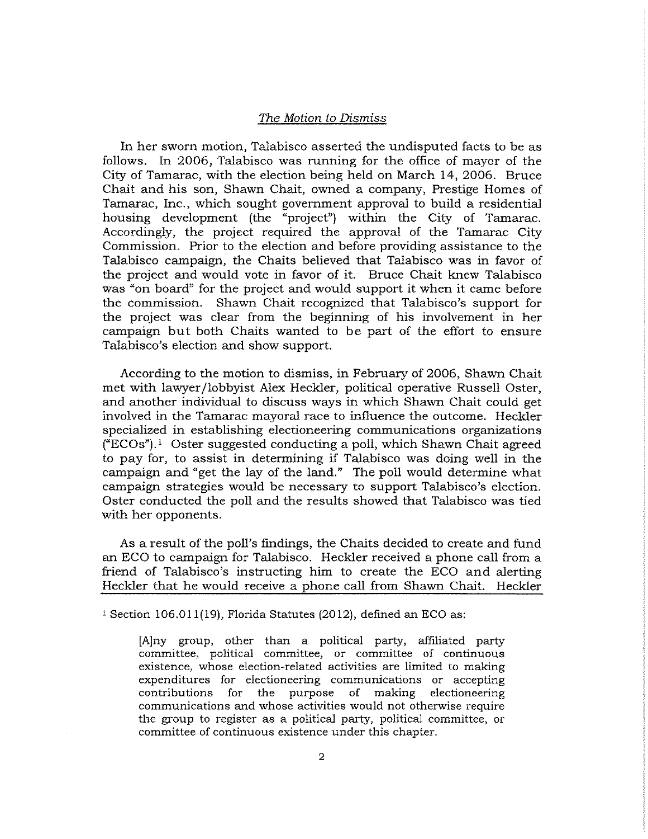#### The Motion to Dismiss

In her sworn motion, Talabisco asserted the undisputed facts to be as follows. In 2006, Talabisco was running for the office of mayor of the City of Tamarac, with the election being held on March 14, 2006. Bruce Chait and his son, Shawn Chait, owned a company, Prestige Homes of Tamarac, Inc., which sought government approval to build a residential housing development (the "project") within the City of Tamarac. Accordingly, the project required the approval of the Tamarac City Commission. Prior to the election and before providing assistance to the Talabisco campaign, the Chaits believed that Talabisco was in favor of the project and would vote in favor of it. Bruce Chait knew Talabisco was "on board" for the project and would support it when it came before the commission. Shawn Chait recognized that Talabisco's support for the project was clear from the beginning of his involvement in her campaign but both Chaits wanted to be part of the effort to ensure Talabisco's election and show support.

According to the motion to dismiss, in February of 2006, Shawn Chait met with lawyer/lobbyist Alex Heckler, political operative Russell Oster, and another individual to discuss ways in which Shawn Chait could get involved in the Tamarac mayoral race to influence the outcome. Heckler specialized in establishing electioneering communications organizations  $({}^{\omega}ECOs$ ").<sup>1</sup> Oster suggested conducting a poll, which Shawn Chait agreed to pay for, to assist in determining if Talabisco was doing well in the campaign and "get the lay of the land." The poll would determine what campaign strategies would be necessary to support Talabisco's election. Oster conducted the poll and the results showed that Talabisco was tied with her opponents.

As a result of the poll's findings, the Chaits decided to create and fund an ECO to campaign for Talabisco. Heckler received a phone call from a friend of Talabisco's instructing him to create the ECO and alerting Heckler that he would receive a phone call from Shawn Chait. Heckler

<sup>1</sup> Section 106.011(19), Florida Statutes (2012), defined an ECO as:

[A]ny group, other than a political party, affiliated party committee, political committee, or committee of continuous existence, whose election-related activities are limited to making expenditures for electioneering communications or accepting contributions for the purpose of making electioneering communications and whose activities would not otherwise require the group to register as a political party, political committee, or committee of continuous existence under this chapter.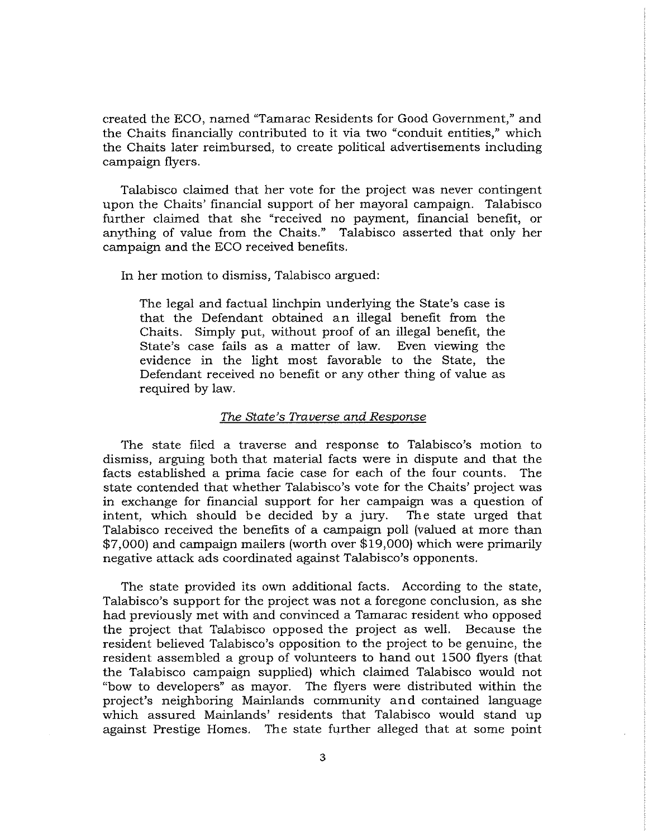created the ECO, named "Tamarac Residents for Good Government," and the Chaits financially contributed to it via two "conduit entities," which the Chaits later reimbursed, to create political advertisements including campaign flyers.

Talabisco claimed that her vote for the project was never contingent upon the Chaits' financial support of her mayoral campaign. Talabisco further claimed that she "received no payment, financial benefit, or anything of value from the Chaits." Talabisco asserted that only her campaign and the ECO received benefits.

In her motion to dismiss, Talabisco argued:

The legal and factual linchpin underlying the State's case is that the Defendant obtained an illegal benefit from the Chaits. Simply put, without proof of an illegal benefit, the State's case fails as a matter of law. Even viewing the evidence in the light most favorable to the State, the Defendant received no benefit or any other thing of value as required by law.

### *The State's Traverse and Response*

The state filed a traverse and response to Talabisco's motion to dismiss, arguing both that material facts were in dispute and that the facts established a prima facie case for each of the four counts. The state contended that whether Talabisco's vote for the Chaits' project was in exchange for financial support for her campaign was a question of intent, which should be decided by a jury. The state urged that Talabisco received the benefits of a campaign poll (valued at more than \$7,000) and campaign mailers (worth over \$19,000) which were primarily negative attack ads coordinated against Talabisco's opponents.

The state provided its own additional facts. According to the state, Talabisco's support for the project was not a foregone conclusion, as she had previously met with and convinced a Tamarac resident who opposed the project that Talabisco opposed the project as well. Because the resident believed Talabisco's opposition to the project to be genuine, the resident assembled a group of volunteers to hand out 1500 flyers (that the Talabisco campaign supplied) which claimed Talabisco would not "bow to developers" as mayor. The flyers were distributed within the project's neighboring Mainlands community and contained language which assured Mainlands' residents that Talabisco would stand up against Prestige Homes. The state further alleged that at some point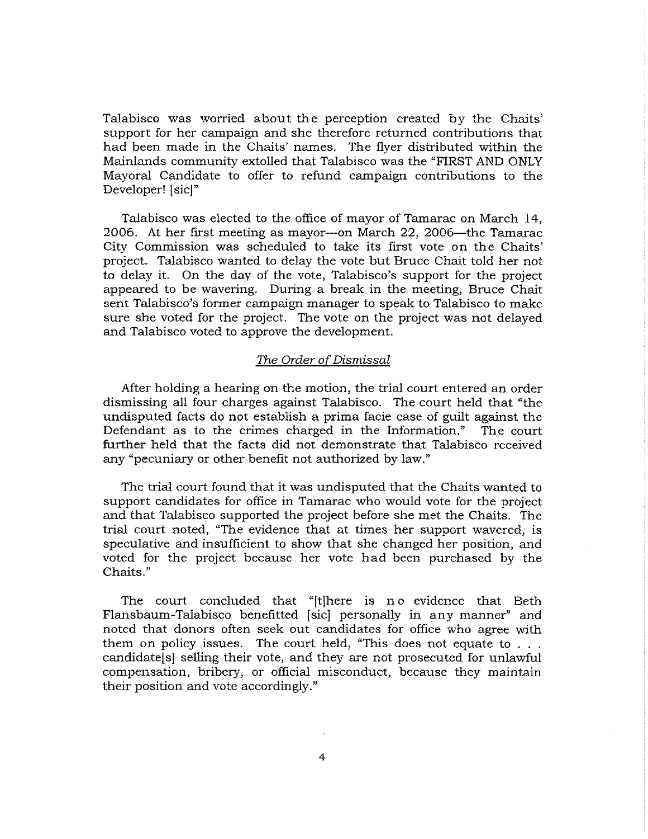Talabisco was worried about the perception created by the Chaits' support for her campaign and she therefore returned contributions that had been made in the Chaits' names. The flyer distributed within the Mainlands community extolled that Talabisco was the "FIRST AND ONLY Mayoral Candidate to offer to refund campaign contributions to the Developer! [sic]"

Talabisco was elected to the office of mayor of Tamarac on March 14, 2006. At her first meeting as mayor-on March 22, 2006-the Tamarac City Commission was scheduled to take its first vote on the Chaits' project. Talabisco wanted to delay the vote but Bruce Chait told her not to delay it. On the day of the vote, Talabisco's support for the project appeared to be wavering. During a break in the meeting, Bruce Chait sent Talabisco's former campaign manager to speak to Talabisco to make sure she voted for the project. The vote on the project was not delayed and Talabisco voted to approve the development.

#### The Order of Dismissal

After holding a hearing on the motion, the trial court entered an order dismissing all four charges against Talabisco. The court held that "the undisputed facts do not establish a prima facie case of guilt against the Defendant as to the crimes charged in the Information." The court further held that the facts did not demonstrate that Talabisco received any "pecuniary or other benefit not authorized by law."

The trial court found that it was undisputed that the Chaits wanted to support candidates for office in Tamarac who would vote for the project and that Talabisco supported the project before she met the Chaits. The trial court noted, "The evidence that at times her support wavered, is speculative and insufficient to show that she changed her position, and voted for the project because her vote had been purchased by the Chaits."

The court concluded that "[t]here is no evidence that Beth Flansbaum-Talabisco benefitted [sic] personally in any manner" and noted that donors often seek out candidates for office who agree with them on policy issues. The court held, "This does not equate to . . . candidate[s] selling their vote, and they are not prosecuted for unlawful compensation, bribery, or official misconduct, because they maintain their position and vote accordingly."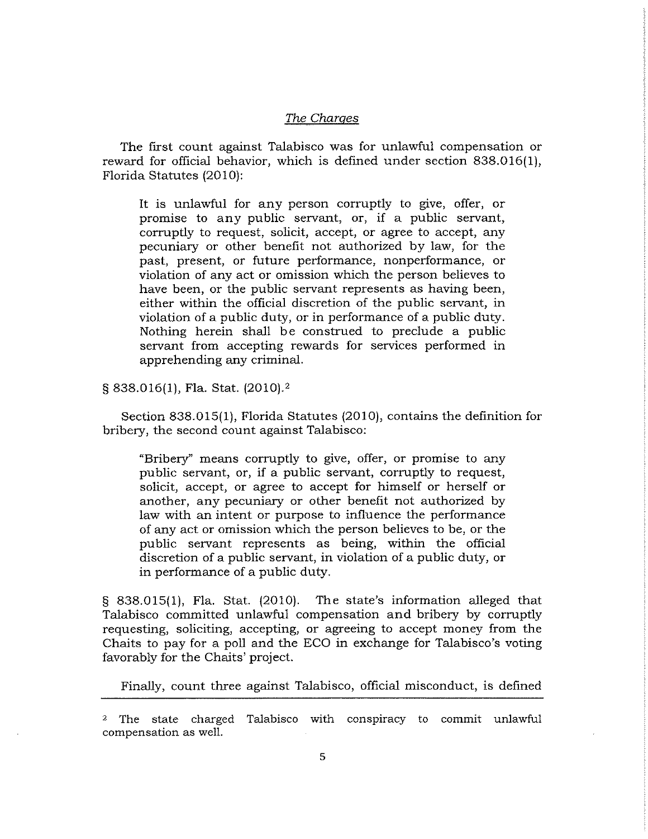### The Charges

The first count against Talabisco was for unlawful compensation or reward for official behavior, which is defined under section 838.016(1), Florida Statutes (2010):

It is unlawful for any person corruptly to give, offer, or promise to any public servant, or, if a public servant, corruptly to request, solicit, accept, or agree to accept, any pecuniary or other benefit not authorized by law, for the past, present, or future performance, nonperformance, or violation of any act or omission which the person believes to have been, or the public servant represents as having been, either within the official discretion of the public servant, in violation of a public duty, or in performance of a public duty. Nothing herein shall be construed to preclude a public servant from accepting rewards for services performed in apprehending any criminal.

§ 838.016(1), Fla. Stat. (2010).2

Section 838.015(1), Florida Statutes (2010), contains the definition for bribery, the second count against Talabisco:

"Bribery" means corruptly to give, offer, or promise to any public servant, or, if a public servant, corruptly to request, solicit, accept, or agree to accept for himself or herself or another, any pecuniary or other benefit not authorized by law with an intent or purpose to influence the performance of any act or omission which the person believes to be, or the public servant represents as being, within the official discretion of a public servant, in violation of a public duty, or in performance of a public duty.

§ 838.015(1), Fla. Stat. (2010). The state's information alleged that Talabisco committed unlawful compensation and bribery by corruptly requesting, soliciting, accepting, or agreeing to accept money from the Chaits to pay for a poll and the ECO in exchange for Talabisco's voting favorably for the Chaits' project.

Finally, count three against Talabisco, official misconduct, is defined

<sup>2</sup> The state charged Talabisco with conspiracy to commit unlawful compensation as well.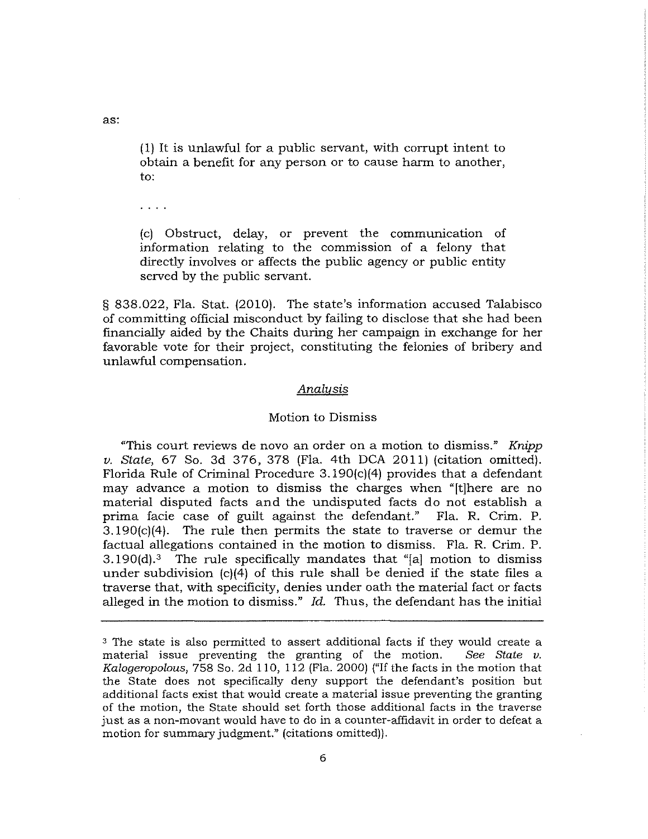(1) It is unlawful for a public servant, with corrupt intent to obtain a benefit for any person or to cause harm to another, to:

. . . .

(c) Obstruct, delay, or prevent the communication of information relating to the commission of a felony that directly involves or affects the public agency or public entity served by the public servant.

§ 838.022, Fla. Stat. (2010). The state's information accused Talabisco of committing official misconduct by failing to disclose that she had been fmancially aided by the Chaits during her campaign in exchange for her favorable vote for their project, constituting the felonies of bribery and unlawful compensation.

#### **Analusis**

#### Motion to Dismiss

"This court reviews de novo an order on a motion to dismiss." Knipp *v. State,* 67 So. 3d 376,378 (Fla. 4th DCA 2011) (citation omitted). Florida Rule of Criminal Procedure 3.190(c)(4) provides that a defendant may advance a motion to dismiss the charges when "[t]here are no material disputed facts and the undisputed facts do not establish a prima facie case of guilt against the defendant." Fla. R. Crim. P.  $3.190(c)(4)$ . The rule then permits the state to traverse or demur the factual allegations contained in the motion to dismiss. Fla. R. Crim. P. 3.190 $(d)$ .<sup>3</sup> The rule specifically mandates that "[a] motion to dismiss under subdivision (c)(4) of this rule shall be denied if the state files a traverse that, with specificity, denies under oath the material fact or facts alleged in the motion to dismiss." *Id.* Thus, the defendant has the initial

as:

<sup>3</sup> The state is also permitted to assert additional facts if they would create a material issue preventing the granting of the motion. *See State v. Kalogeropolous,* 758 So. 2d 110, 112 (Fla. 2000) ("If the facts in the motion that the State does not specifically deny support the defendant's position but additional facts exist that would create a material issue preventing the granting of the motion, the State should set forth those additional facts in the traverse just as a non-movant would have to do in a counter-affidavit in order to defeat a motion for summary judgment." (citations omitted)).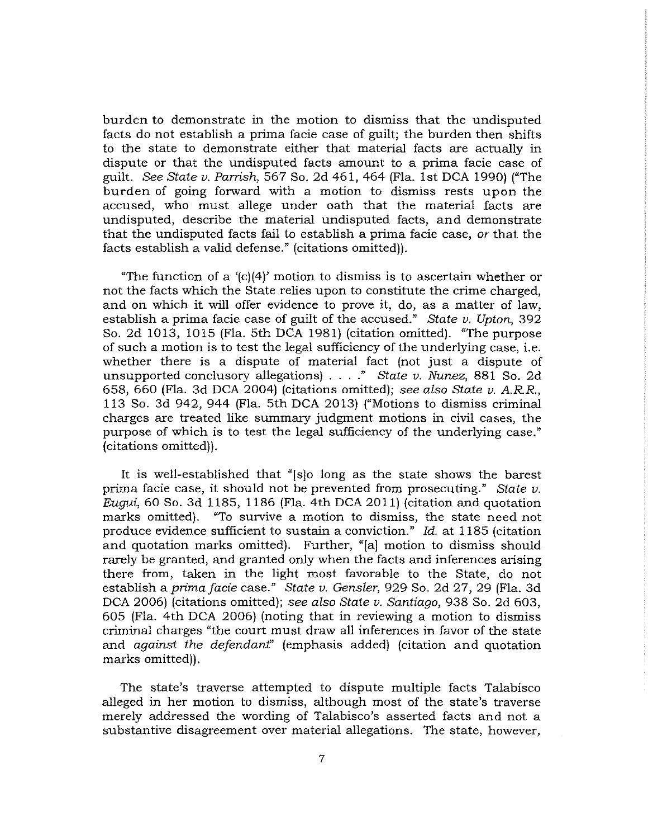burden to demonstrate in the motion to dismiss that the undisputed facts do not establish a prima facie case of guilt; the burden then shifts to the state to demonstrate either that material facts are actually in dispute or that the undisputed facts amount to a prima facie case of guilt. *See state v. Parrish,* 567 So. 2d 461, 464 (Fla. 1st DCA 1990) ("The burden of going forward with a motion to dismiss rests upon the accused, who must allege under oath that the material facts are undisputed, describe the material undisputed facts, and demonstrate that the undisputed facts fail to establish a prima facie case, *or* that the facts establish a valid defense." (citations omitted)).

"The function of a '(c)(4)' motion to dismiss is to ascertain whether or not the facts which the State relies upon to constitute the crime charged, and on which it will offer evidence to prove it, do, as a matter of law, establish a prima facie case of guilt of the accused." *state v. Upton,* 392 So. 2d 1013, 1015 (Fla. 5th DCA 1981) (citation omitted). "The purpose of such a motion is to test the legal sufficiency of the underlying case, i.e. whether there is a dispute of material fact (not just a dispute of unsupported conclusory allegations) .... " *state v. Nunez,* 881 So. 2d 658, 660 (Fla. 3d DCA 2004) (citations omitted); *see also State v. A.R.R.,*  113 So. 3d 942, 944 (Fla. 5th DCA 2013) ("Motions to dismiss criminal charges are treated like summary judgment motions in civil cases, the purpose of which is to test the legal sufficiency of the underlying case." (citations omitted)).

It is well-established that "[s]o long as the state shows the barest prima facie case, it should not be prevented from prosecuting." *State v. Eugui,* 60 So. 3d 1185, 1186 (Fla. 4th DCA 2011) (citation and quotation marks omitted). "To survive a motion to dismiss, the state need not produce evidence sufficient to sustain a conviction." *Id.* at 1185 (citation and quotation marks omitted). Further, "[a] motion to dismiss should rarely be granted, and granted only when the facts and inferences arising there from, taken in the light most favorable to the State, do not establish a *prima facie* case." *State v. Gensler,* 929 So. 2d 27, 29 (Fla. 3d DCA 2006) (citations omitted); *see also state v. Santiago,* 938 So. 2d 603, 605 (Fla. 4th DCA 2006) (noting that in reviewing a motion to dismiss criminal charges "the court must draw all inferences in favor of the state and *against the defendant'* (emphasis added) (citation and quotation marks omitted)).

The state's traverse attempted to dispute multiple facts Talabisco alleged in her motion to dismiss, although most of the state's traverse merely addressed the wording of Talabisco's asserted facts and not a substantive disagreement over material allegations. The state, however,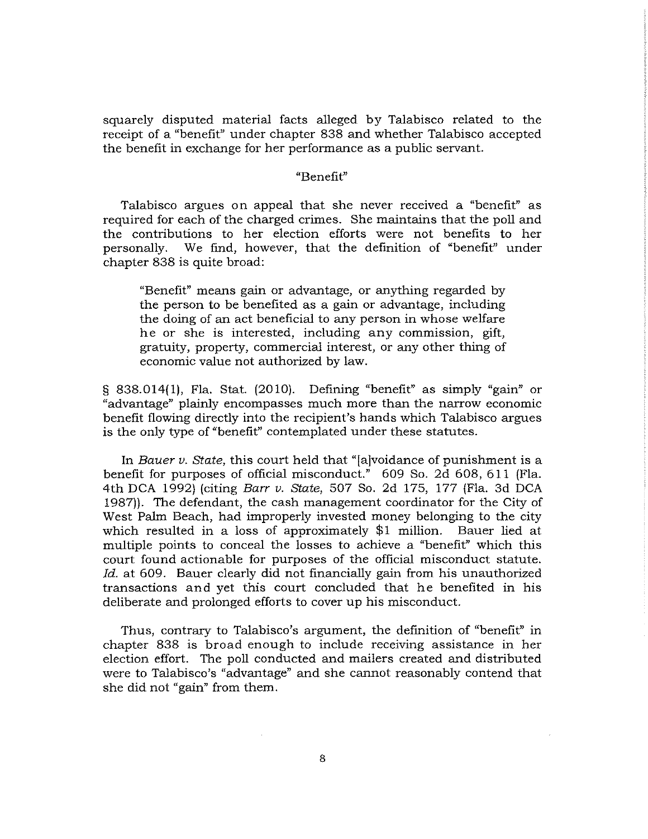squarely disputed material facts alleged by Talabisco related to the receipt of a "benefit" under chapter 838 and whether Talabisco accepted the benefit in exchange for her performance as a public servant.

# "Benefit"

Talabisco argues on appeal that she never received a "benefit" as required for each of the charged crimes. She maintains that the poll and the contributions to her election efforts were not benefits to her personally. We find, however, that the definition of "benefit" under chapter 838 is quite broad:

"Benefit" means gain or advantage, or anything regarded by the person to be benefited as a gain or advantage, including the doing of an act beneficial to any person in whose welfare he or she is interested, including any commission, gift, gratuity, property, commercial interest, or any other thing of economic value not authorized by law.

§ 838.014(1), Fla. Stat. (2010). Defining "benefit" as simply "gain" or "advantage" plainly encompasses much more than the narrow economic benefit flowing directly into the recipient's hands which Talabisco argues is the only type of "benefit" contemplated under these statutes.

In *Bauer v. State,* this court held that "[a]voidance of punishment is a benefit for purposes of official misconduct." 609 So. 2d 608, 611 (Fla. 4th DCA 1992) (citing *Barr v. State,* 507 So. 2d 175, 177 (Fla. 3d DCA 1987)). The defendant, the cash management coordinator for the City of West Palm Beach, had improperly invested money belonging to the city which resulted in a loss of approximately \$1 million. Bauer lied at multiple points to conceal the losses to achieve a "benefit" which this court found actionable for purposes of the official misconduct statute. Id. at 609. Bauer clearly did not financially gain from his unauthorized transactions and yet this court concluded that he benefited in his deliberate and prolonged efforts to cover up his misconduct.

Thus, contrary to Talabisco's argument, the defmition of "benefit" in chapter 838 is broad enough to include receiving assistance in her election effort. The poll conducted and mailers created and distributed were to Talabisco's "advantage" and she cannot reasonably contend that she did not "gain" from them.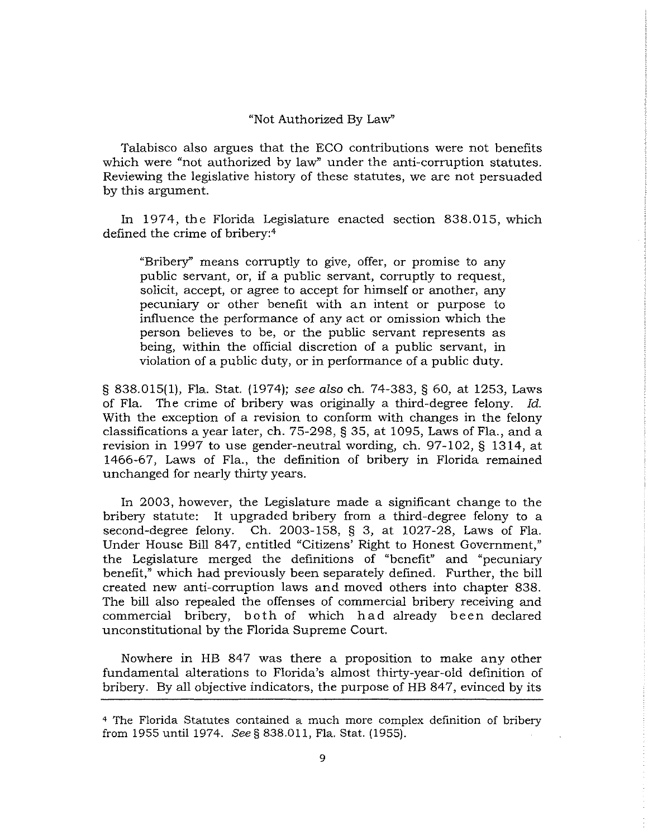### "Not Authorized By Law''

Talabisco also argues that the ECO contributions were not benefits which were "not authorized by law" under the anti-corruption statutes. Reviewing the legislative history of these statutes, we are not persuaded by this argument.

In 1974, the Florida Legislature enacted section 838.015, which defined the crime of bribery:4

"Bribery'' means corruptly to give, offer, or promise to any public servant, or, if a public servant, corruptly to request, solicit, accept, or agree to accept for himself or another, any pecuniary or other benefit with an intent or purpose to influence the performance of any act or omission which the person believes to be, or the public servant represents as being, within the official discretion of a public servant, in violation of a public duty, or in performance of a public duty.

§ 838.015(1), Fla. Stat. (1974); *see also* ch. 74-383, § 60, at 1253, Laws of Fla. The crime of bribery was originally a third-degree felony. *Id.*  With the exception of a revision to conform with changes in the felony classifications a year later, ch. 75-298, § 35, at 1095, Laws of Fla., and a revision in 1997 to use gender-neutral wording, ch. 97-102, § 1314, at 1466-67, Laws of Fla., the definition of bribery in Florida remained unchanged for nearly thirty years.

In 2003, however, the Legislature made a significant change to the bribery statute: It upgraded bribery from a third-degree felony to a second-degree felony. Ch. 2003-158, § 3, at 1027-28, Laws of Fla. Under House Bill 847, entitled "Citizens' Right to Honest Government," the Legislature merged the definitions of "benefit" and "pecuniary benefit," which had previously been separately defined. Further, the bill created new anti-corruption laws and moved others into chapter 838. The bill also repealed the offenses of commercial bribery receiving and commercial bribery, both of which had already been declared unconstitutional by the Florida Supreme Court.

Nowhere in HB 847 was there a proposition to make any other fundamental alterations to Florida's almost thirty-year-old definition of bribery. By all objective indicators, the purpose of HB 847, evinced by its

<sup>4</sup> The Florida Statutes contained a much more complex definition of bribery from 1955 until 1974. See § 838.011, Fla. Stat. (1955).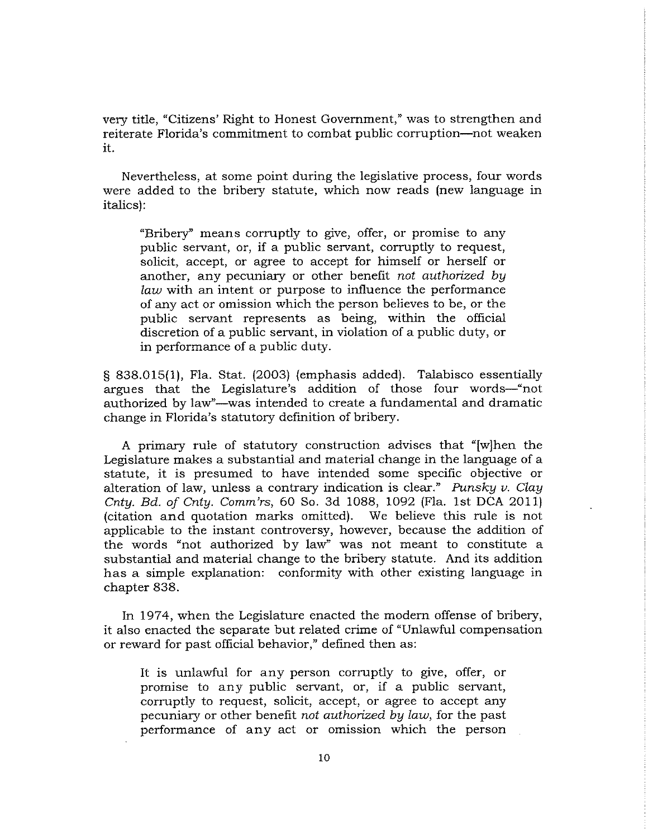very title, "Citizens' Right to Honest Govemment," was to strengthen and reiterate Florida's commitment to combat public corruption-not weaken it.

Nevertheless, at some point during the legislative process, four words were added to the bribery statute, which now reads (new language in italics}:

"Bribery'' means corruptly to give, offer, or promise to any public servant, or, if a public servant, corruptly to request, solicit, accept, or agree to accept for himself or herself or another, any pecuniary or other benefit *not authorized by law* with an intent or purpose to influence the performance of any act or omission which the person believes to be, or the public servant represents as being, within the official discretion of a public servant, in violation of a public duty, or in performance of a public duty.

§ 838.015(1), Fla. Stat. (2003) (emphasis added). Talabisco essentially argues that the Legislature's addition of those four words-"not authorized by law"—was intended to create a fundamental and dramatic change in Florida's statutory definition of bribery.

A primary rule of statutory construction advises that "[w]hen the Legislature makes a substantial and material change in the language of a statute, it is presumed to have intended some specific objective or alteration of law, unless a contrary indication is clear." *Punsky v. Clay Cnty. Bd. of Cnty. Comm'rs,* 60 So. 3d 1088, 1092 (Fla. 1st DCA 2011) (citation and quotation marks omitted}. We believe this rule is not applicable to the instant controversy, however, because the addition of the words "not authorized by law" was not meant to constitute a substantial and material change to the bribery statute. And its addition has a simple explanation: conformity with other existing language in chapter 838.

In 1974, when the Legislature enacted the modem offense of bribery, it also enacted the separate but related crime of "Unlawful compensation or reward for past official behavior," defined then as:

It is unlawful for any person corruptly to give, offer, or promise to any public servant, or, if a public servant, corruptly to request, solicit, accept, or agree to accept any pecuniary or other benefit *not authorized by law,* for the past performance of any act or omission which the person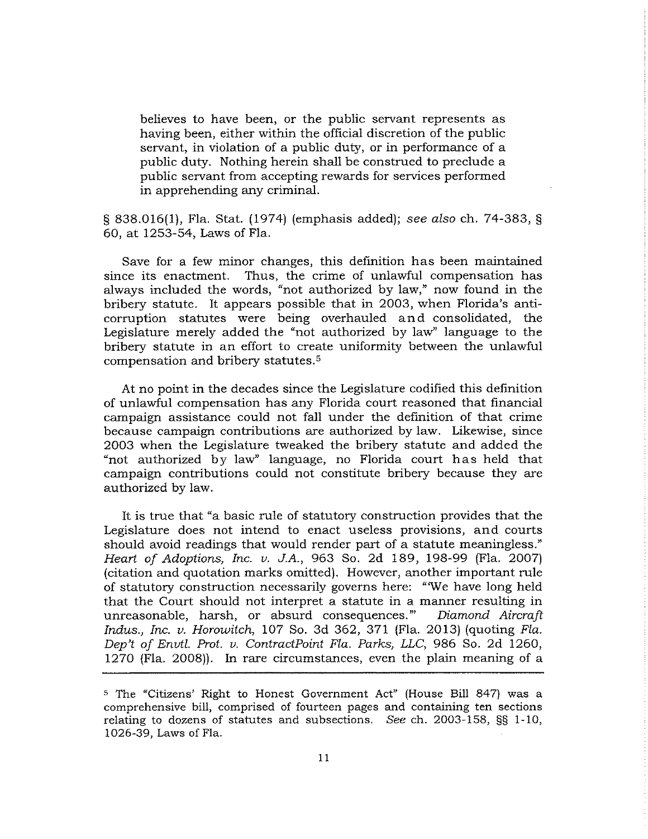believes to have been, or the public servant represents as having been, either within the official discretion of the public servant, in violation of a public duty, or in performance of a public duty. Nothing herein shall be construed to preclude a public servant from accepting rewards for services performed in apprehending any criminal.

§ 838.016(1), Fla. Stat. (1974) (emphasis added); *see also* ch. 74-383, § 60, at 1253-54, Laws of Fla.

Save for a few minor changes, this definition has been maintained since its enactment. Thus, the crime of unlawful compensation has always included the words, "not authorized by law," now found in the bribery statute. It appears possible that in 2003, when Florida's anticorruption statutes were being overhauled and consolidated, the Legislature merely added the "not authorized by law" language to the bribery statute in an effort to create uniformity between the unlawful compensation and bribery statutes. <sup>5</sup>

At no point in the decades since the Legislature codified this definition of unlawful compensation has any Florida court reasoned that financial campaign assistance could not fall under the definition of that crime because campaign contributions are authorized by law. Likewise, since 2003 when the Legislature tweaked the bribery statute and added the "not authorized by law" language, no Florida court has held that campaign contributions could not constitute bribery because they are authorized by law.

It is true that "a basic rule of statutory construction provides that the Legislature does not intend to enact useless provisions, and courts should avoid readings that would render part of a statute meaningless." *Heart of Adoptions, Inc. v.* J.A., 963 So. 2d 189, 198-99 (Fla. 2007) (citation and quotation marks omitted). However, another important rule of statutory construction necessarily governs here: "'We have long held that the Court should not interpret a statute in a manner resulting in unreasonable, harsh, or absurd consequences."' *Diamond Aircraft Indus., Inc. v. Horowitch,* 107 So. 3d 362, 371 (Fla. 2013) (quoting *Fla. Dep't of Envtl. Prot. v. ContractPoint Fla. Parks, LLC,* 986 So. 2d 1260, 1270 (Fla. 2008)). In rare circumstances, even the plain meaning of a

s The "Citizens' Right to Honest Government Act" (House Bill 847) was a comprehensive bill, comprised of fourteen pages and containing ten sections relating to dozens of statutes and subsections. *See* ch. 2003-158, §§ 1-10, 1026-39, Laws of Fla.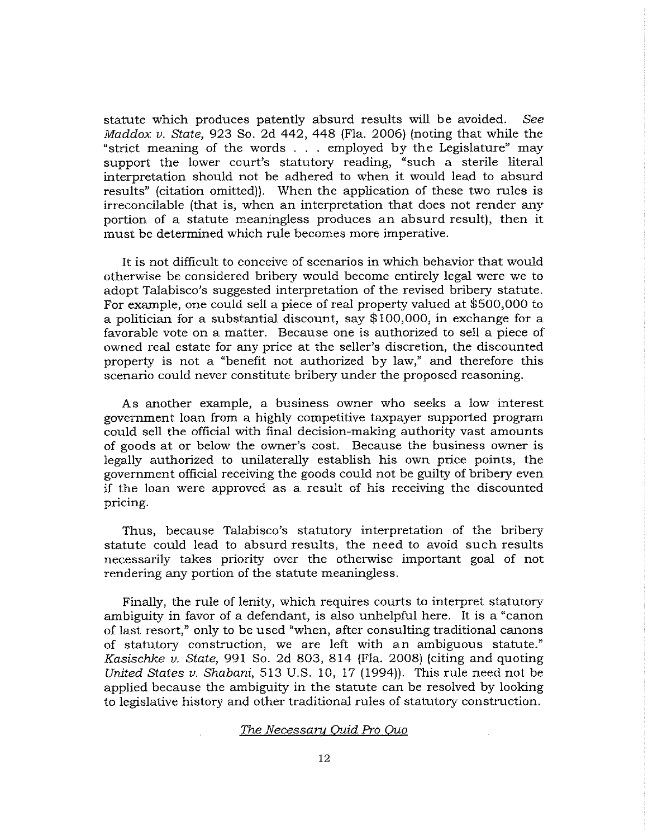statute which produces patently absurd results will be avoided. *See Maddox v. State,* 923 So. 2d 442, 448 (Fla. 2006) (noting that while the "strict meaning of the words . . . employed by the Legislature" may support the lower court's statutory reading, "such a sterile literal interpretation should not be adhered to when it would lead to absurd results" (citation omitted)). When the application of these two rules is irreconcilable (that is, when an interpretation that does not render any portion of a statute meaningless produces an absurd result), then it must be determined which rule becomes more imperative.

It is not difficult to conceive of scenarios in which behavior that would otherwise be considered bribery would become entirely legal were we to adopt Talabisco's suggested interpretation of the revised bribery statute. For example, one could sell a piece of real property valued at \$500,000 to a politician for a substantial discount, say \$100,000, in exchange for a favorable vote on a matter. Because one is authorized to sell a piece of owned real estate for any price at the seller's discretion, the discounted property is not a "benefit not authorized by law," and therefore this scenario could never constitute bribery under the proposed reasoning.

As another example, a business owner who seeks a low interest government loan from a highly competitive taxpayer supported program could sell the official with final decision-making authority vast amounts of goods at or below the owner's cost. Because the business owner is legally authorized to unilaterally establish his own price points, the government official receiving the goods could not be guilty of bribery even if the loan were approved as a result of his receiving the discounted pricing.

Thus, because Talabisco's statutory interpretation of the bribery statute could lead to absurd results, the need to avoid such results necessarily takes priority over the otherwise important goal of not rendering any portion of the statute meaningless.

Finally, the rule of lenity, which requires courts to interpret statutory ambiguity in favor of a defendant, is also unhelpful here. It is a "canon of last resort," only to be used "when, after consulting traditional canons of statutory construction, we are left with an ambiguous statute." *Kasischke v. State,* 991 So. 2d 803, 814 (Fla. 2008) (citing and quoting *United States v. Shabani,* 513 U.S. 10, 17 (1994)). This rule need not be applied because the ambiguity in the statute can be resolved by looking to legislative history and other traditional rules of statutory construction.

*The Necessary Quid Pro Quo*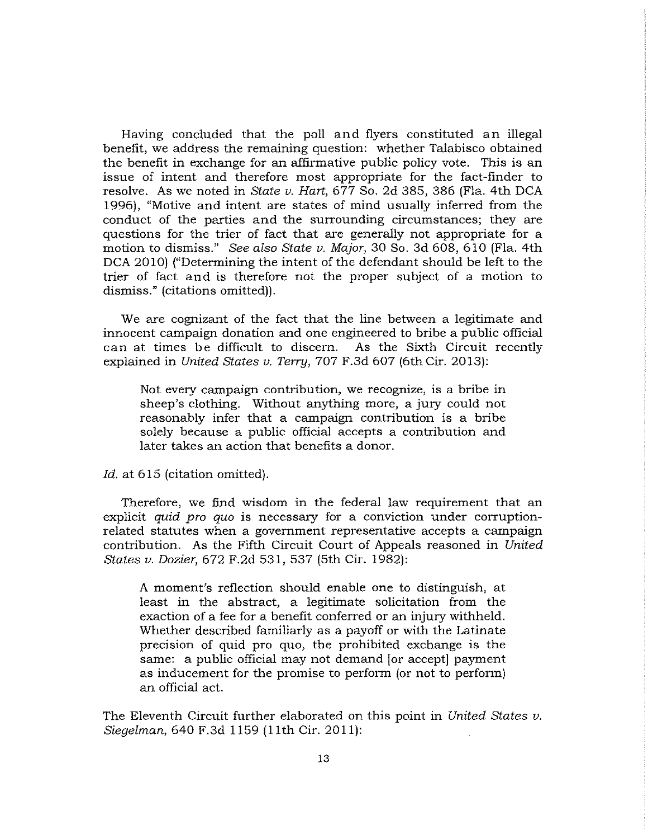Having concluded that the poll and flyers constituted an illegal benefit, we address the remaining question: whether Talabisco obtained the benefit in exchange for an affirmative public policy vote. This is an issue of intent and therefore most appropriate for the fact-finder to resolve. As we noted in *State v. Hart,* 677 So. 2d 385, 386 (Fla. 4th DCA 1996), "Motive and intent are states of mind usually inferred from the conduct of the parties and the surrounding circumstances; they are questions for the trier of fact that are generally not appropriate for a motion to dismiss." *See also State* v. *Major,* 30 So. 3d 608, 610 (Fla. 4th DCA 2010) ("Determining the intent of the defendant should be left to the trier of fact and is therefore not the proper subject of a motion to dismiss." (citations omitted)).

We are cognizant of the fact that the line between a legitimate and innocent campaign donation and one engineered to bribe a public official can at times be difficult to discern. As the Sixth Circuit recently explained in *United States v. Terry,* 707 F.3d 607 (6th Cir. 2013):

Not every campaign contribution, we recognize, is a bribe in sheep's clothing. Without anything more, a jury could not reasonably infer that a campaign contribution is a bribe solely because a public official accepts a contribution and later takes an action that benefits a donor.

Id. at 615 (citation omitted).

Therefore, we find wisdom in the federal law requirement that an explicit *quid pro quo* is necessary for a conviction under corruptionrelated statutes when a government representative accepts a campaign contribution. As the Fifth Circuit Court of Appeals reasoned in *United States v. Dozier,* 672 F.2d 531, 537 (5th Cir. 1982):

A moment's reflection should enable one to distinguish, at least in the abstract, a legitimate solicitation from the exaction of a fee for a benefit conferred or an injury withheld. Whether described familiarly as a payoff or with the Latinate precision of quid pro quo, the prohibited exchange is the same: a public official may not demand [or accept] payment as inducement for the promise to perform (or not to perform) an official act.

The Eleventh Circuit further elaborated on this point in *United States v. Siegelman,* 640 F.3d 1159 (11th Cir. 2011):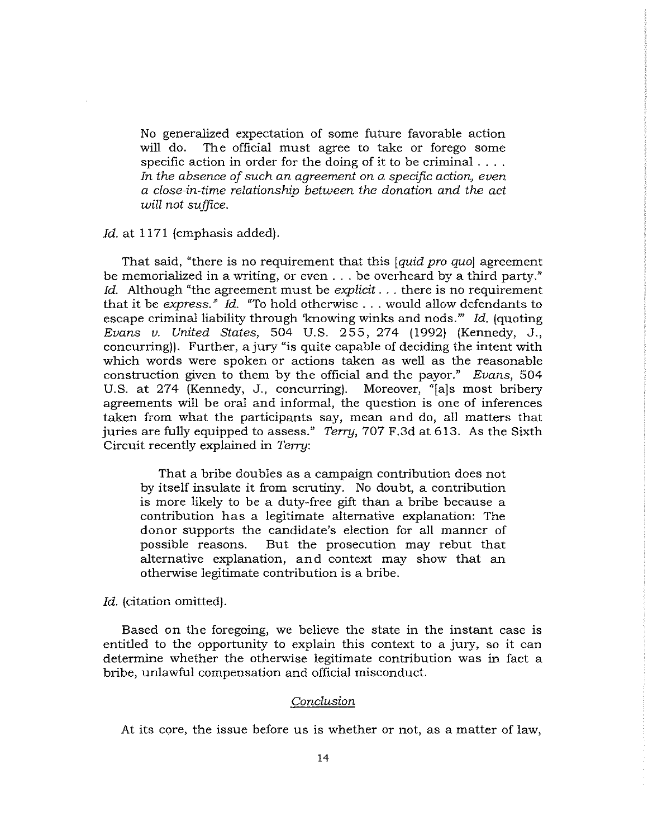No generalized expectation of some future favorable action will do. The official must agree to take or forego some specific action in order for the doing of it to be criminal . . . . *In the absence of such an agreement on a specific action, even a close-in-time relationship between the donation and the act will not suffice.* 

Id. at 1171 (emphasis added).

That said, "there is no requirement that this *[quid pro quo]* agreement be memorialized in a writing, or even ... be overheard by a third party." *Id.* Although "the agreement must be *explicit* ... there is no requirement that it be *express." Id.* "To hold otherwise ... would allow defendants to escape criminal liability through 'knowing winks and nods."' *Id.* (quoting *Evans v. United States,* 504 U.S. 255, 274 (1992) (Kennedy, J., concurring)). Further, a jury "is quite capable of deciding the intent with which words were spoken or actions taken as well as the reasonable construction given to them by the official and the payor." *Evans,* 504 U.S. at 274 (Kennedy, J., concurring). Moreover, "[a]s most bribery agreements will be oral and informal, the question is one of inferences taken from what the participants say, mean and do, all matters that juries are fully equipped to assess." *Terry,* 707 F.3d at 613. As the Sixth Circuit recently explained in *Terry:* 

That a bribe doubles as a campaign contribution does not by itself insulate it from scrutiny. No doubt, a contribution is more likely to be a duty-free gift than a bribe because a contribution has a legitimate alternative explanation: The donor supports the candidate's election for all manner of possible reasons. But the prosecution may rebut that alternative explanation, and context may show that an otherwise legitimate contribution is a bribe.

*Id.* (citation omitted).

Based on the foregoing, we believe the state in the instant case is entitled to the opportunity to explain this context to a jury, so it can determine whether the otherwise legitimate contribution was in fact a bribe, unlawful compensation and official misconduct.

# *Conclusion*

At its core, the issue before us is whether or not, as a matter of law,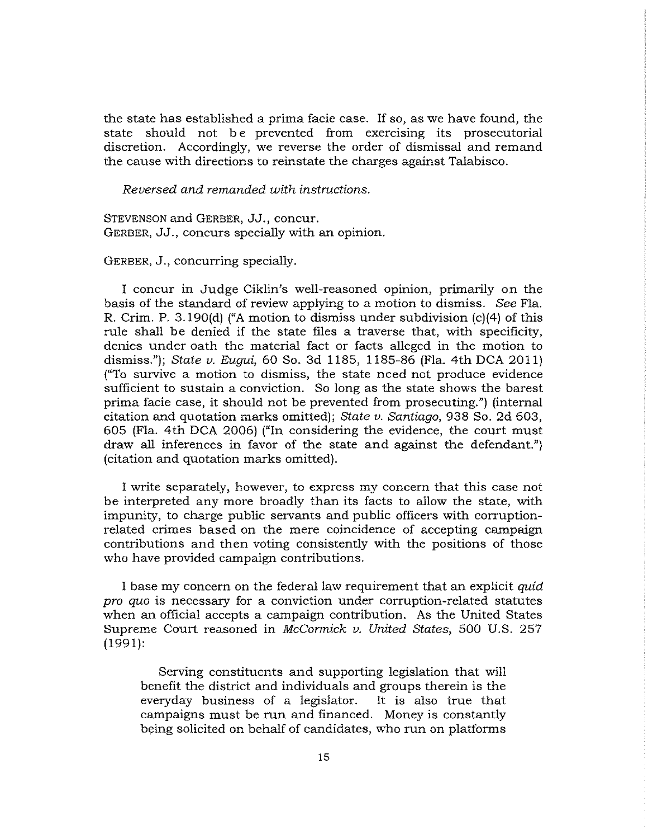the state has established a prima facie case. If so, as we have found, the state should not be prevented from exercising its prosecutorial discretion. Accordingly, we reverse the order of dismissal and remand the cause with directions to reinstate the charges against Talabisco.

*Reversed and remanded with instructions.* 

STEVENSON and GERBER, JJ., concur. GERBER, JJ., concurs specially with an opinion.

GERBER, J., concurring specially.

I concur in Judge Ciklin's well-reasoned opinion, primarily on the basis of the standard of review applying to a motion to dismiss. *See* Fla. R. Crim. P. 3.190(d) ("A motion to dismiss under subdivision (c)(4) of this rule shall be denied if the state files a traverse that, with specificity, denies under oath the material fact or facts alleged in the motion to dismiss."); *State v. Eugui,* 60 So. 3d 1185, 1185-86 (Fla. 4th DCA 2011) ("To survive a motion to dismiss, the state need not produce evidence sufficient to sustain a conviction. So long as the state shows the barest prima facie case, it should not be prevented from prosecuting.") (internal citation and quotation marks omitted); *State v. Santiago,* 938 So. 2d 603, 605 (Fla. 4th DCA 2006) ("In considering the evidence, the court must draw all inferences in favor of the state and against the defendant.") (citation and quotation marks omitted).

I write separately, however, to express my concern that this case not be interpreted any more broadly than its facts to allow the state, with impunity, to charge public servants and public officers with corruptionrelated crimes based on the mere coincidence of accepting campaign contributions and then voting consistently with the positions of those who have provided campaign contributions.

I base my concern on the federal law requirement that an explicit *quid pro quo* is necessary for a conviction under corruption-related statutes when an official accepts a campaign contribution. As the United States Supreme Court reasoned in *McCormick v. United States,* 500 U.S. 257 (1991):

Serving constituents and supporting legislation that will benefit the district and individuals and groups therein is the everyday business of a legislator. It is also true that campaigns must be run and financed. Money is constantly being solicited on behalf of candidates, who run on platforms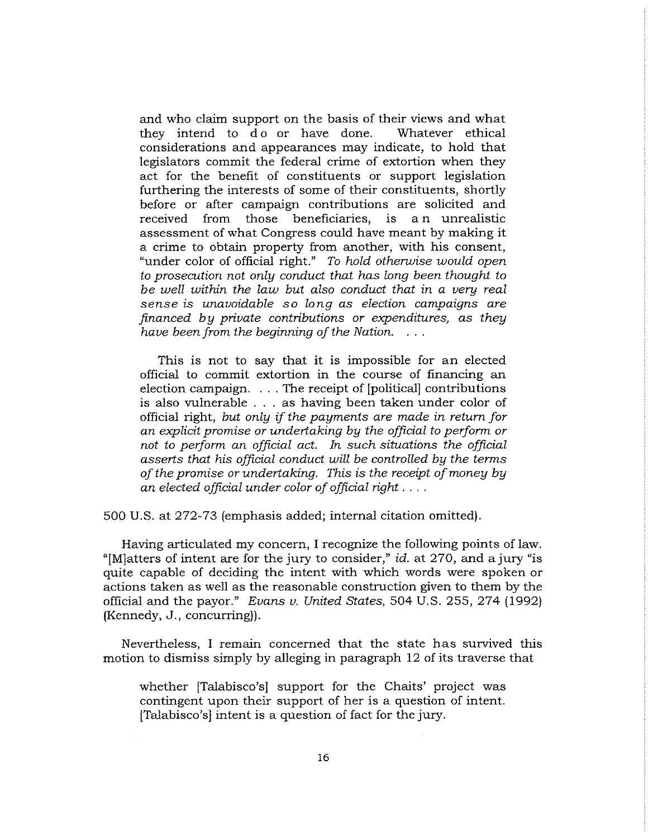and who claim support on the basis of their views and what they intend to do or have done. Whatever ethical considerations and appearances may indicate, to hold that legislators commit the federal crime of extortion when they act for the benefit of constituents or support legislation furthering the interests of some of their constituents, shortly before or after campaign contributions are solicited and received from those beneficiaries, is an unrealistic assessment of what Congress could have meant by making it a crime to obtain property from another, with his consent, "under color of official right." To hold otherwise would open *to prosecution not only conduct that has long been thought to be well within the law but also conduct that in a very real sense is unavoidable so long as election campaigns are financed by private contributions or expenditures, as they have been from the beginning of the Nation.* 

This is not to say that it is impossible for an elected official to commit extortion in the course of financing an election campaign. . .. The receipt of [political] contributions is also vulnerable . . . as having been taken under color of official right, *but only* if *the payments are made in return for an explicit promise or undertaking by the official to perform or not to perform an official act. In such situations the official asserts that his official conduct will be controlled by the terms of the promise or undertaking. This is the receipt of money by an elected official under color of official right* ....

500 U.S. at 272-73 (emphasis added; internal citation omitted).

Having articulated my concern, I recognize the following points of law. "[M]atters of intent are for the jury to consider," *id.* at 270, and a jury "is quite capable of deciding the intent with which words were spoken or actions taken as well as the reasonable construction given to them by the official and the payor." *Evans v. United States,* 504 U.S. 255, 274 (1992) (Kennedy, J., concurring)).

Nevertheless, I remain concerned that the state has survived this motion to dismiss simply by alleging in paragraph 12 of its traverse that

whether [Talabisco's] support for the Chaits' project was contingent upon their support of her is a question of intent. [Talabisco's] intent is a question of fact for the jury.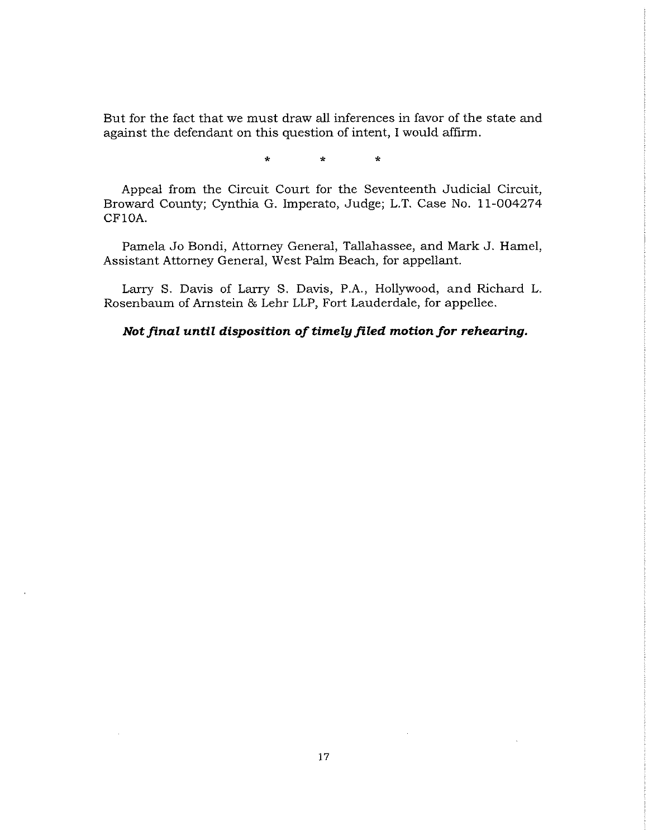But for the fact that we must draw all inferences in favor of the state and against the defendant on this question of intent, I would affirm.

\* \* \*

Appeal from the Circuit Court for the Seventeenth Judicial Circuit, Broward County; Cynthia G. Imperato, Judge; L.T. Case No. 11-004274 CF10A.

Pamela Jo Bondi, Attorney General, Tallahassee, and Mark J. Hamel, Assistant Attorney General, West Palm Beach, for appellant.

Larry S. Davis of Larry S. Davis, P.A., Hollywood, and Richard L. Rosenbaum of Amstein & Lehr LLP, Fort Lauderdale, for appellee.

*Not final until disposition of timely filed motion for rehearing.*